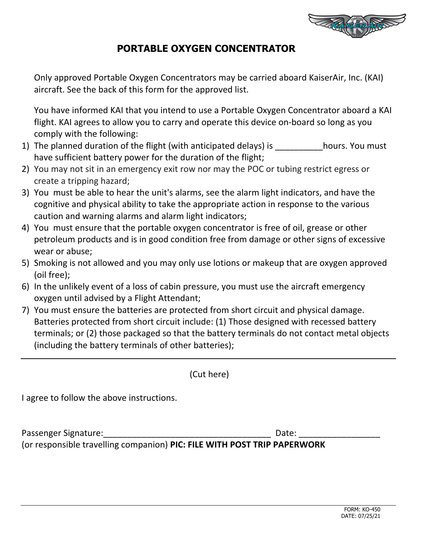

## **PORTABLE OXYGEN CONCENTRATOR**

Only approved Portable Oxygen Concentrators may be carried aboard KaiserAir, Inc. (KAI) aircraft. See the back of this form for the approved list.

You have informed KAI that you intend to use a Portable Oxygen Concentrator aboard a KAI flight. KAI agrees to allow you to carry and operate this device on‐board so long as you comply with the following:

- 1) The planned duration of the flight (with anticipated delays) is hours. You must have sufficient battery power for the duration of the flight;
- 2) You may not sit in an emergency exit row nor may the POC or tubing restrict egress or create a tripping hazard;
- 3) You must be able to hear the unit's alarms, see the alarm light indicators, and have the cognitive and physical ability to take the appropriate action in response to the various caution and warning alarms and alarm light indicators;
- 4) You must ensure that the portable oxygen concentrator is free of oil, grease or other petroleum products and is in good condition free from damage or other signs of excessive wear or abuse;
- 5) Smoking is not allowed and you may only use lotions or makeup that are oxygen approved (oil free);
- 6) In the unlikely event of a loss of cabin pressure, you must use the aircraft emergency oxygen until advised by a Flight Attendant;
- 7) You must ensure the batteries are protected from short circuit and physical damage. Batteries protected from short circuit include: (1) Those designed with recessed battery terminals; or (2) those packaged so that the battery terminals do not contact metal objects (including the battery terminals of other batteries);

(Cut here)

I agree to follow the above instructions.

Passenger Signature: etc. and the set of the set of the set of the set of the Date:  $\Box$ 

(or responsible travelling companion) **PIC: FILE WITH POST TRIP PAPERWORK**